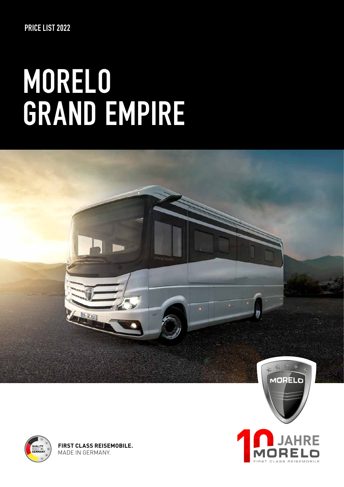# **MORELO GRAND EMPIRE**



**IRE** 

**FIRST CLASS REISEMOBILE** 



**FIRST CLASS REISEMOBILE.** MADE IN GERMANY.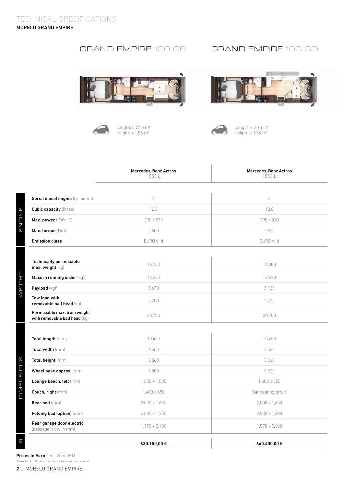# GRAND EMPIRE 100 GB GRAND EMPIRE 100 GO





Length: ≤ 2.75 m\* Height: ≤ 1.56 m\*





Length:  $\leq 2.75$  m<sup>\*</sup> Height: ≤ 1.56 m\*

|                                                                 | <b>Mercedes-Benz Actros</b><br>1853L | Mercedes-Benz Actros<br>1853L |
|-----------------------------------------------------------------|--------------------------------------|-------------------------------|
| Serial diesel engine (cylinders)                                | 6                                    | 6                             |
| <b>Cubic capacity (litres)</b>                                  | 12.8                                 | 12.8                          |
| Max. power (KW/HP)                                              | 390 / 530                            | 390 / 530                     |
| Max. torque (Nm)                                                | 2.600                                | 2.600                         |
| <b>Emission class</b>                                           | EURO VI d                            | EURO VI d                     |
| <b>Technically permissible</b><br>max. weight (kg) <sup>1</sup> | 18,000                               | 18,000                        |
| Mass in running order (kg) <sup>1</sup>                         | 12,330                               | 12,570                        |
| Payload (kg) <sup>1</sup>                                       | 5,670                                | 5,430                         |
| Tow load with<br>removable ball head (kg)                       | 2,700                                | 2,700                         |
| Permissible max. train weight<br>with removable ball head (kg)  | 20,700                               | 20,700                        |
|                                                                 |                                      |                               |
| Total length (mm)                                               | 10,450                               | 10,450                        |
| Total width (mm)                                                | 2,550                                | 2.550                         |
| Total height (mm)                                               | 3,860                                | 3,860                         |
| Wheel base approx. (mm)                                         | 5,500                                | 5,500                         |
| Lounge bench, left $\langle mm \rangle$                         | $1,800 \times 1,000$                 | $1,600 \times 850$            |
| Couch, right (mm)                                               | $1,400 \times 650$                   | Bar seating group             |
| <b>Rear bed</b> (mm)                                            | 2,000 x 1,630                        | 2,000 x 1,630                 |
| Folding bed (option) (mm)                                       | 2,080 x 1,300                        | 2,080 x 1,300                 |
| Rear garage door electric<br>(passage h x w in mm)              | 1,570 x 2,100                        | 1,570 x 2,100                 |
|                                                                 | 630.150,00 €                         | 660.400,00€                   |

Prices in Euro (incl. 20% VAT) 1) see back \*) cars that cannot be towed on request

ENGINE

WEIGHT

DIMENSIONS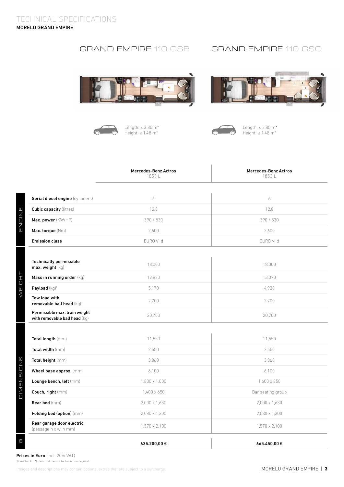# GRAND EMPIRE 110 GSB

# GRAND EMPIRE 110 GSO





Length: ≤ 3.85 m\* Height: ≤ 1.48 m\*





Length: ≤ 3.85 m\* Height: ≤ 1.48 m\*

|                                                                 | <b>Mercedes-Benz Actros</b><br>1853L | <b>Mercedes-Benz Actros</b><br>1853L |
|-----------------------------------------------------------------|--------------------------------------|--------------------------------------|
| Serial diesel engine (cylinders)                                | 6                                    | 6                                    |
| <b>Cubic capacity (litres)</b>                                  | 12.8                                 | 12.8                                 |
| Max. power (KW/HP)                                              | 390 / 530                            | 390 / 530                            |
| Max. torque (Nm)                                                | 2,600                                | 2,600                                |
| <b>Emission class</b>                                           | EURO VI d                            | EURO VI d                            |
| <b>Technically permissible</b><br>max. weight (kg) <sup>1</sup> | 18,000                               | 18,000                               |
| Mass in running order (kg) <sup>1</sup>                         | 12,830                               | 13,070                               |
| Payload (kg) <sup>1</sup>                                       | 5,170                                | 4,930                                |
| Tow load with<br>removable ball head (kg)                       | 2,700                                | 2.700                                |
| Permissible max. train weight<br>with removable ball head (kg)  | 20,700                               | 20,700                               |
|                                                                 |                                      |                                      |
| Total length (mm)                                               | 11,550                               | 11,550                               |
| Total width (mm)                                                | 2,550                                | 2,550                                |
| Total height (mm)                                               | 3.860                                | 3.860                                |
| Wheel base approx. (mm)                                         | 6,100                                | 6,100                                |
| Lounge bench, left (mm)                                         | 1,800 x 1,000                        | 1,600 x 850                          |
| Couch, right (mm)                                               | 1,400 x 650                          | Bar seating group                    |
| Rear bed (mm)                                                   | 2,000 x 1,630                        | 2,000 x 1,630                        |
| Folding bed (option) (mm)                                       | 2,080 x 1,300                        | 2,080 x 1,300                        |
| Rear garage door electric<br>(passage h x w in mm)              | $1,570 \times 2,100$                 | $1,570 \times 2,100$                 |
|                                                                 | 635.200,00€                          | 665.450,00 €                         |

Prices in Euro (incl. 20% VAT)

ENGINE

WEIGHT

DIMENSIONS

1) see back \*) cars that cannot be towed on request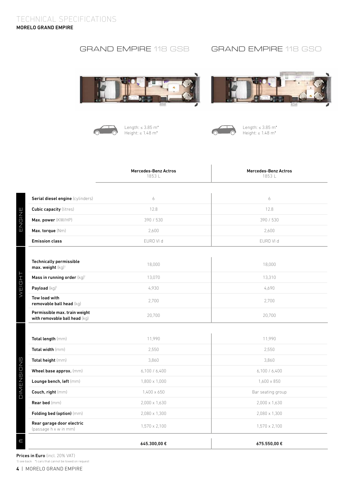# GRAND EMPIRE 118 GSB GRAND EMPIRE 118 GSO







Length: ≤ 3.85 m\* Height: ≤ 1.48 m\*



 $\begin{array}{c} \hline \end{array}$ 

Length: ≤ 3.85 m\* Height: ≤ 1.48 m\*

|                                                                 | <b>Mercedes-Benz Actros</b><br>1853L | <b>Mercedes-Benz Actros</b><br>1853L |
|-----------------------------------------------------------------|--------------------------------------|--------------------------------------|
|                                                                 |                                      |                                      |
| Serial diesel engine (cylinders)                                | 6                                    | 6                                    |
| <b>Cubic capacity (litres)</b>                                  | 12.8                                 | 12.8                                 |
| Max. power (KW/HP)                                              | 390 / 530                            | 390 / 530                            |
| Max. torque (Nm)                                                | 2,600                                | 2,600                                |
| <b>Emission class</b>                                           | EURO VI d                            | EURO VI d                            |
| <b>Technically permissible</b><br>max. weight (kg) <sup>1</sup> | 18,000                               | 18,000                               |
| Mass in running order (kg) <sup>1</sup>                         | 13,070                               | 13,310                               |
| Payload (kg) <sup>1</sup>                                       | 4,930                                | 4,690                                |
| Tow load with<br>removable ball head (kg)                       | 2,700                                | 2,700                                |
| Permissible max. train weight<br>with removable ball head (kg)  | 20,700                               | 20,700                               |
| Total length (mm)                                               | 11,990                               | 11,990                               |
|                                                                 |                                      |                                      |
| Total width (mm)                                                | 2,550                                | 2,550                                |
| Total height (mm)                                               | 3,860                                | 3,860                                |
| Wheel base approx. (mm)                                         | 6,100 / 6,400                        | 6,100 / 6,400                        |
| Lounge bench, left (mm)                                         | $1,800 \times 1,000$                 | $1.600 \times 850$                   |
| Couch, right (mm)                                               | 1,400 x 650                          | Bar seating group                    |
| <b>Rear bed</b> (mm)                                            | 2,000 x 1,630                        | 2,000 x 1,630                        |
| Folding bed (option) (mm)                                       | 2,080 x 1,300                        | 2,080 x 1,300                        |
| Rear garage door electric<br>(passage h x w in mm)              | 1,570 x 2,100                        | 1,570 x 2,100                        |
|                                                                 | 645.300,00€                          | 675.550,00 €                         |

Prices in Euro (incl. 20% VAT)

1) see back \*) cars that cannot be towed on request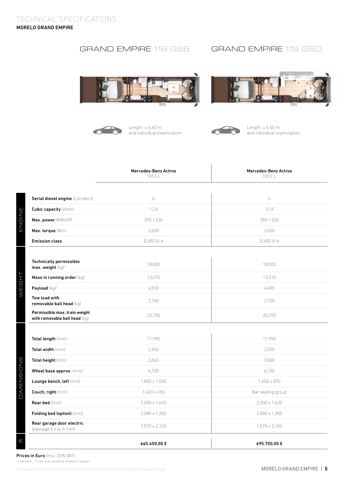# GRAND EMPIRE 119 GSB GRAND EMPIRE 119 GSO





Length: ≤ 4.60 m and individual examination





Length: ≤ 4.60 m and individual examination

|                                                                 | <b>Mercedes-Benz Actros</b><br>1853L | <b>Mercedes-Benz Actros</b><br>1853L |
|-----------------------------------------------------------------|--------------------------------------|--------------------------------------|
|                                                                 |                                      |                                      |
| Serial diesel engine (cylinders)                                | 6                                    | 6                                    |
| <b>Cubic capacity (litres)</b>                                  | 12.8                                 | 12.8                                 |
| Max. power (KW/HP)                                              | 390 / 530                            | 390 / 530                            |
| Max. torque (Nm)                                                | 2,600                                | 2,600                                |
| <b>Emission class</b>                                           | EURO VI d                            | EURO VI d                            |
| <b>Technically permissible</b><br>max. weight (kg) <sup>1</sup> | 18,000                               | 18,000                               |
| Mass in running order (kg) <sup>1</sup>                         | 13,070                               | 13,310                               |
| Payload (kg) <sup>1</sup>                                       | 4,930                                | 4.690                                |
| Tow load with<br>removable ball head (kg)                       | 2,700                                | 2,700                                |
| Permissible max. train weight<br>with removable ball head (kg)  | 20,700                               | 20,700                               |
|                                                                 |                                      |                                      |
| Total length (mm)                                               | 11,990                               | 11,990                               |
| Total width (mm)                                                | 2,550                                | 2,550                                |
| Total height (mm)                                               | 3,860                                | 3,860                                |
| Wheel base approx. (mm)                                         | 6,100                                | 6,100                                |
| Lounge bench, left (mm)                                         | $1,800 \times 1,000$                 | 1,600 x 850                          |
| Couch, right (mm)                                               | 1,400 x 650                          | Bar seating group                    |
| Rear bed (mm)                                                   | 2,000 x 1,630                        | 2,000 x 1,630                        |
| Folding bed (option) (mm)                                       | 2,080 x 1,300                        | 2,080 x 1,300                        |
| Rear garage door electric<br>(passage h x w in mm)              | 1,570 x 2,100                        | 1,570 x 2,100                        |
|                                                                 | 665.450,00€                          | 695.700,00 €                         |

Prices in Euro (incl. 20% VAT)

ENGINE

WEIGHT

DIMENSIONS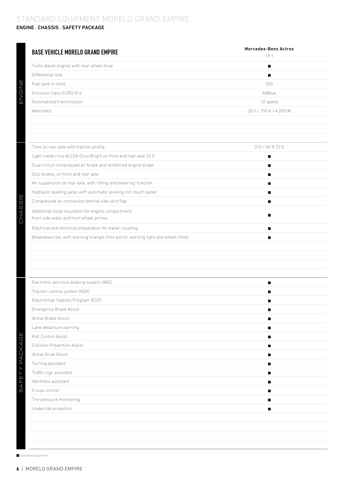### STANDARD EQUIPMENT MORELO GRAND EMPIRE ENGINE . CHASSIS . SAFETY PACKAGE

| <b>BASE VEHICLE MORELO GRAND EMPIRE</b>                                            | Mercedes-Benz Actros<br>18 <sub>t</sub> |
|------------------------------------------------------------------------------------|-----------------------------------------|
| Turbo diesel engine, with rear wheel drive                                         | $\blacksquare$                          |
| Differential lock                                                                  | п                                       |
| Fuel tank in litres                                                                | 500                                     |
| Emission class EURO VI d                                                           | AdBlue                                  |
| Automatized transmission                                                           | 12 speed                                |
| Alternator                                                                         | 28 V / 150 A / 4,200 W                  |
|                                                                                    |                                         |
|                                                                                    |                                         |
|                                                                                    |                                         |
| Tires on rear axle with traction profile                                           | 315 / 60 R 22.5                         |
| Light metal rims ALCOA Dura Bright on front and rear axle 22.5"                    | $\blacksquare$                          |
| Dual-circuit compressed air brake and reinforced engine brake                      | п                                       |
| Disc brakes, on front and rear axle                                                | п                                       |
| Air suspension on rear axle, with 'lifting and lowering' function                  | п                                       |
| Hydraulic leveling jacks with automatic leveling incl. touch panel                 | п                                       |
| Compressed air connection behind side skirt flap                                   | $\blacksquare$                          |
| Additional noise insulation for engine compartment,                                | п                                       |
| front side walls and front wheel arches                                            |                                         |
| Electrical and technical preparation for trailer coupling                          | п                                       |
| Breakdown set, with warning triangle, first-aid kit, warning light and wheel chock | ■                                       |
|                                                                                    |                                         |
| Electronic anti-lock braking system (ABS)                                          | ■                                       |
| Traction control system (ASR)                                                      | п                                       |
| Electronical Stability Program (ESP)                                               |                                         |
| Emergency Brake Assist                                                             | п                                       |
| Active Brake Assist                                                                | п                                       |
| Lane departure warning                                                             | п                                       |
| Roll Control Assist                                                                | ■                                       |
| Collision Prevention Assist                                                        | п                                       |
| Active Drive Assist                                                                | п                                       |
| Turning assistant                                                                  | п                                       |
| Traffic sign assistant                                                             | п                                       |
| Alertness assistant                                                                | $\blacksquare$                          |
| Cruise control                                                                     | п                                       |
| Tire pressure monitoring                                                           | п                                       |
| Underride protection                                                               | п                                       |
|                                                                                    |                                         |
|                                                                                    |                                         |
|                                                                                    |                                         |

Standard Equipment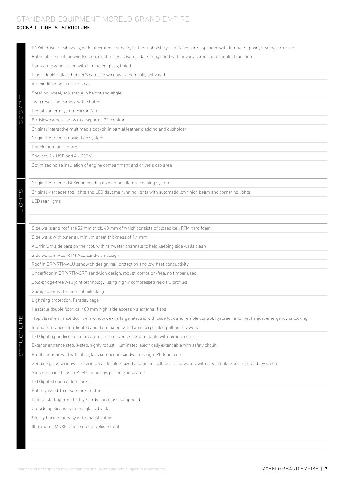# STANDARD EQUIPMENT MORELO GRAND EMPIRE

# COCKPIT . LIGHTS . STRUCTURE

| ROYAL driver's cab seats, with integrated seatbelts, leather upholstery, ventilated, air-suspended with lumbar support, heating, armrests    |
|----------------------------------------------------------------------------------------------------------------------------------------------|
| Roller plissee behind windscreen, electrically activated, darkening blind with privacy screen and sunblind function                          |
| Panoramic windscreen with laminated glass, tinted                                                                                            |
| Flush, double-glazed driver's cab side windows, electrically activated                                                                       |
| Air conditioning in driver's cab                                                                                                             |
| Steering wheel, adjustable in height and angle                                                                                               |
| Twin reversing camera with shutter                                                                                                           |
| Digital camera system Mirror Cam                                                                                                             |
| Birdview camera set with a separate 7" monitor                                                                                               |
| Original interactive multimedia cockpit in partial leather cladding and cupholder                                                            |
| Original Mercedes navigation system                                                                                                          |
| Double horn air fanfare                                                                                                                      |
| Sockets, 2 x USB and 4 x 230 V                                                                                                               |
| Optimized noise insulation of engine compartment and driver's cab area                                                                       |
|                                                                                                                                              |
| Original Mercedes Bi-Xenon headlights with headlamp-cleaning system                                                                          |
| Original Mercedes fog lights and LED daytime running lights with automatic low/ high beam and cornering lights                               |
| LED rear lights                                                                                                                              |
|                                                                                                                                              |
|                                                                                                                                              |
| Side walls and roof are 52 mm thick, 48 mm of which consists of closed-cell RTM hard foam                                                    |
| Side walls with outer aluminium sheet thickness of 1.4 mm                                                                                    |
| Aluminium side bars on the roof, with rainwater channels to help keeping side walls clean                                                    |
| Side walls in ALU-RTM-ALU sandwich design                                                                                                    |
|                                                                                                                                              |
| Roof in GRP-RTM-ALU sandwich design, hail protection and low heat conductivity                                                               |
| Underfloor in GRP-RTM-GRP sandwich design, robust, corrosion-free, no timber used                                                            |
| Cold-bridge-free wall joint technology, using highly compressed rigid PU profiles                                                            |
| Garage door with electrical unlocking                                                                                                        |
| Lightning protection, Faraday cage                                                                                                           |
| Heatable double floor, ca. 480 mm high, side access via external flaps                                                                       |
| "Top Class" entrance door with window, extra large, electric with code lock and remote control, flyscreen and mechanical emergency unlocking |
| Interior entrance step, heated and illuminated, with two incorporated pull-out drawers                                                       |
| LED lighting underneath of roof profile on driver's side, dimmable with remote control                                                       |
| Exterior entrance step, 3-step, highly robust, illuminated, electrically extendable with safety circuit                                      |
| Front and rear wall with fibreglass compound sandwich design, PU foam core                                                                   |
| Genuine glass windows in living area, double-glazed and tinted, collapsible outwards, with pleated blackout blind and flyscreen              |
| Storage space flaps in RTM technology, perfectly insulated                                                                                   |
| LED lighted double floor lockers                                                                                                             |
| Entirely wood-free exterior structure                                                                                                        |
| Lateral skirting from highly sturdy fibreglass compound                                                                                      |
| Outside applications in real glass, black                                                                                                    |
| Sturdy handle for easy entry, backlighted                                                                                                    |
|                                                                                                                                              |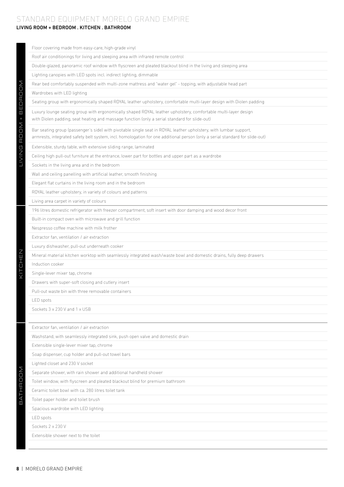# STANDARD EQUIPMENT MORELO GRAND EMPIRE

# LIVING ROOM + BEDROOM . KITCHEN . BATHROOM

| Floor covering made from easy-care, high-grade vinyl                                                                                                                                                                                              |
|---------------------------------------------------------------------------------------------------------------------------------------------------------------------------------------------------------------------------------------------------|
| Roof air conditionings for living and sleeping area with infrared remote control                                                                                                                                                                  |
| Double-glazed, panoramic roof window with flyscreen and pleated blackout blind in the living and sleeping area                                                                                                                                    |
| Lighting canopies with LED spots incl. indirect lighting, dimmable                                                                                                                                                                                |
| Rear bed comfortably suspended with multi-zone mattress and "water gel" - topping, with adjustable head part                                                                                                                                      |
| Wardrobes with LED lighting                                                                                                                                                                                                                       |
| Seating group with ergonomically shaped ROYAL leather upholstery, comfortable multi-layer design with Diolen padding                                                                                                                              |
| Luxury lounge seating group with ergonomically shaped ROYAL leather upholstery, comfortable multi-layer design<br>with Diolen padding, seat heating and massage function (only a serial standard for slide-out)                                   |
| Bar seating group (passenger's side) with pivotable single seat in ROYAL leather upholstery, with lumbar support,<br>armrests, integrated safety belt system, incl. homologation for one additional person (only a serial standard for slide-out) |
| Extensible, sturdy table, with extensive sliding range, laminated                                                                                                                                                                                 |
| Ceiling high pull-out furniture at the entrance, lower part for bottles and upper part as a wardrobe                                                                                                                                              |
| Sockets in the living area and in the bedroom                                                                                                                                                                                                     |
| Wall and ceiling panelling with artificial leather, smooth finishing                                                                                                                                                                              |
| Elegant flat curtains in the living room and in the bedroom                                                                                                                                                                                       |
| ROYAL leather upholstery, in variety of colours and patterns                                                                                                                                                                                      |
| Living area carpet in variety of colours                                                                                                                                                                                                          |
| 196 litres domestic refrigerator with freezer compartment, soft insert with door damping and wood decor front                                                                                                                                     |
| Built-in compact oven with microwave and grill function                                                                                                                                                                                           |
| Nespresso coffee machine with milk frother                                                                                                                                                                                                        |
| Extractor fan, ventilation / air extraction                                                                                                                                                                                                       |
| Luxury dishwasher, pull-out underneath cooker                                                                                                                                                                                                     |
| Mineral material kitchen worktop with seamlessly integrated wash/waste bowl and domestic drains, fully deep drawers                                                                                                                               |
| Induction cooker                                                                                                                                                                                                                                  |
| Single-lever mixer tap, chrome                                                                                                                                                                                                                    |
| Drawers with super-soft closing and cutlery insert                                                                                                                                                                                                |
| Pull-out waste bin with three removable containers                                                                                                                                                                                                |
| <b>LED</b> spots                                                                                                                                                                                                                                  |
| Sockets 3 x 230 V and 1 x USB                                                                                                                                                                                                                     |
|                                                                                                                                                                                                                                                   |
| Extractor fan, ventilation / air extraction                                                                                                                                                                                                       |
| Washstand, with seamlessly integrated sink, push open valve and domestic drain                                                                                                                                                                    |
| Extensible single-lever mixer tap, chrome                                                                                                                                                                                                         |
| Soap dispenser, cup holder and pull-out towel bars                                                                                                                                                                                                |
| Lighted closet and 230 V socket                                                                                                                                                                                                                   |
| Separate shower, with rain shower and additional handheld shower                                                                                                                                                                                  |
| Toilet window, with flyscreen and pleated blackout blind for premium bathroom                                                                                                                                                                     |
| Ceramic toilet bowl with ca. 280 litres toilet tank                                                                                                                                                                                               |
| Toilet paper holder and toilet brush                                                                                                                                                                                                              |
| Spacious wardrobe with LED lighting                                                                                                                                                                                                               |
| LED spots                                                                                                                                                                                                                                         |
| Sockets 2 x 230 V                                                                                                                                                                                                                                 |
| Extensible shower next to the toilet                                                                                                                                                                                                              |
|                                                                                                                                                                                                                                                   |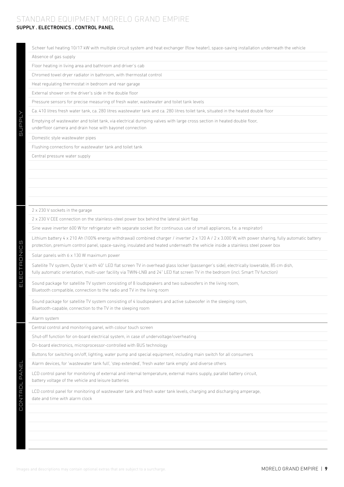# STANDARD EQUIPMENT MORELO GRAND EMPIRE

# SUPPLY . ELECTRONICS . CONTROL PANEL

| Absence of gas supply                                                                                                                                                                                                                                                                   |
|-----------------------------------------------------------------------------------------------------------------------------------------------------------------------------------------------------------------------------------------------------------------------------------------|
|                                                                                                                                                                                                                                                                                         |
| Floor heating in living area and bathroom and driver's cab                                                                                                                                                                                                                              |
| Chromed towel dryer radiator in bathroom, with thermostat control                                                                                                                                                                                                                       |
| Heat regulating thermostat in bedroom and rear garage                                                                                                                                                                                                                                   |
| External shower on the driver's side in the double floor                                                                                                                                                                                                                                |
| Pressure sensors for precise measuring of fresh water, wastewater and toilet tank levels                                                                                                                                                                                                |
| Ca. 410 litres fresh water tank, ca. 280 litres wastewater tank and ca. 280 litres toilet tank, situated in the heated double floor                                                                                                                                                     |
| Emptying of wastewater and toilet tank, via electrical dumping valves with large cross section in heated double floor,<br>underfloor camera and drain hose with bayonet connection                                                                                                      |
| Domestic style wastewater pipes                                                                                                                                                                                                                                                         |
| Flushing connections for wastewater tank and toilet tank                                                                                                                                                                                                                                |
| Central pressure water supply                                                                                                                                                                                                                                                           |
|                                                                                                                                                                                                                                                                                         |
|                                                                                                                                                                                                                                                                                         |
|                                                                                                                                                                                                                                                                                         |
|                                                                                                                                                                                                                                                                                         |
|                                                                                                                                                                                                                                                                                         |
| 2 x 230 V sockets in the garage                                                                                                                                                                                                                                                         |
| 2 x 230 V CEE connection on the stainless-steel power box behind the lateral skirt flap                                                                                                                                                                                                 |
| Sine wave inverter 600 W for refrigerator with separate socket (for continuous use of small appliances, f.e. a respirator)                                                                                                                                                              |
| Lithium battery 4 x 210 Ah (100% energy withdrawal) combined charger / inverter 2 x 120 A / 2 x 3.000 W, with power sharing, fully automatic battery<br>protection, premium control panel, space-saving, insulated and heated underneath the vehicle inside a stainless steel power box |
| Solar panels with 6 x 130 W maximum power                                                                                                                                                                                                                                               |
| Satellite TV system, Oyster V, with 40" LED flat screen TV in overhead glass locker (passenger's side), electrically lowerable, 85 cm dish,<br>fully automatic orientation, multi-user facility via TWIN-LNB and 24" LED flat screen TV in the bedroom (incl. Smart TV function)        |
| Sound package for satellite TV system consisting of 8 loudspeakers and two subwoofers in the living room,<br>Bluetooth compatible, connection to the radio and TV in the living room                                                                                                    |
| Sound package for satellite TV system consisting of 4 loudspeakers and active subwoofer in the sleeping room,<br>Bluetooth-capable, connection to the TV in the sleeping room                                                                                                           |
| Alarm system                                                                                                                                                                                                                                                                            |
| Central control and monitoring panel, with colour touch screen                                                                                                                                                                                                                          |
| Shut-off function for on-board electrical system, in case of undervoltage/overheating                                                                                                                                                                                                   |
| On-board electronics, microprocessor-controlled with BUS technology                                                                                                                                                                                                                     |
| Buttons for switching on/off, lighting, water pump and special equipment, including main switch for all consumers                                                                                                                                                                       |
| Alarm devices, for 'wastewater tank full', 'step extended', 'fresh water tank empty' and diverse others                                                                                                                                                                                 |
| LCD control panel for monitoring of external and internal temperature, external mains supply, parallel battery circuit,<br>battery voltage of the vehicle and leisure batteries                                                                                                         |
| LCD control panel for monitoring of wastewater tank and fresh water tank levels, charging and discharging amperage,<br>date and time with alarm clock                                                                                                                                   |
|                                                                                                                                                                                                                                                                                         |
|                                                                                                                                                                                                                                                                                         |
|                                                                                                                                                                                                                                                                                         |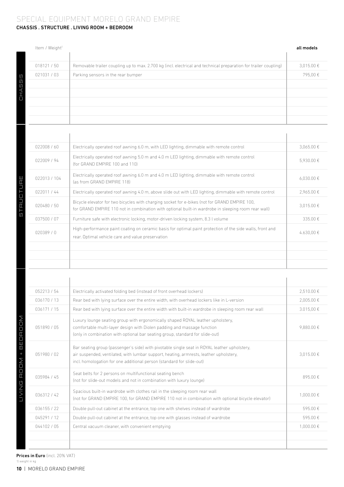### CHASSIS . STRUCTURE . LIVING ROOM + BEDROOM SPECIAL EQUIPMENT MORELO GRAND EMPIRE

| Item / Weight <sup>1</sup> |                                                                                                                  | all models     |
|----------------------------|------------------------------------------------------------------------------------------------------------------|----------------|
| 018121 / 50                | Removable trailer coupling up to max. 2.700 kg (incl. electrical and technical preparation for trailer coupling) | $3,015.00 \in$ |
| 021031 / 03                | Parking sensors in the rear bumper                                                                               | 795,00€        |
|                            |                                                                                                                  |                |
|                            |                                                                                                                  |                |
|                            |                                                                                                                  |                |
|                            |                                                                                                                  |                |

 $\mathbf{r}$ 

| 022008/60   | Electrically operated roof awning 6.0 m, with LED lighting, dimmable with remote control                                                                                                             | $3.065.00 \in$      |
|-------------|------------------------------------------------------------------------------------------------------------------------------------------------------------------------------------------------------|---------------------|
| 022009 / 94 | Electrically operated roof awning 5.0 m and 4.0 m LED lighting, dimmable with remote control<br>(for GRAND EMPIRE 100 and 110)                                                                       | 5.930.00€           |
| 022013/104  | Electrically operated roof awning 6.0 m and 4.0 m LED lighting, dimmable with remote control<br>(as from GRAND EMPIRE 118)                                                                           | $6.030.00 \text{€}$ |
| 022011 / 44 | Electrically operated roof awning 4.0 m, above slide out with LED lighting, dimmable with remote control                                                                                             | 2.965.00€           |
| 020480 / 50 | Bicycle elevator for two bicycles with charging socket for e-bikes (not for GRAND EMPIRE 100,<br>for GRAND EMPIRE 110 not in combination with optional built-in wardrobe in sleeping room rear wall) | 3.015.00 €          |
| 037500 / 07 | Furniture safe with electronic locking, motor-driven locking system, 8.3 I volume                                                                                                                    | 335.00€             |
| 020389/0    | High-performance paint coating on ceramic basis for optimal paint protection of the side walls, front and<br>rear. Optimal vehicle care and value preservation                                       | 4.630,00€           |
|             |                                                                                                                                                                                                      |                     |
|             |                                                                                                                                                                                                      |                     |
|             |                                                                                                                                                                                                      |                     |

| 052213/54   | Electrically activated folding bed (instead of front overhead lockers)                                                                                                                                                                                          | 2.510.00 € |
|-------------|-----------------------------------------------------------------------------------------------------------------------------------------------------------------------------------------------------------------------------------------------------------------|------------|
| 036170 / 13 | Rear bed with lying surface over the entire width, with overhead lockers like in L-version                                                                                                                                                                      | 2,005.00€  |
| 036171 / 15 | Rear bed with lying surface over the entire width with built-in wardrobe in sleeping room rear wall                                                                                                                                                             | 3.015.00 € |
| 051890 / 05 | Luxury lounge seating group with ergonomically shaped ROYAL leather upholstery,<br>comfortable multi-layer design with Diolen padding and massage function<br>(only in combination with optional bar seating group, standard for slide-out)                     | 9.880.00€  |
| 051980 / 02 | Bar seating group (passenger's side) with pivotable single seat in ROYAL leather upholstery.<br>air suspended, ventilated, with lumbar support, heating, armrests, leather upholstery,<br>incl. homologation for one additional person (standard for slide-out) | 3.015.00 € |
| 035984 / 45 | Seat belts for 2 persons on multifunctional seating bench<br>(not for slide-out models and not in combination with luxury lounge)                                                                                                                               | 895.00€    |
| 036312 / 42 | Spacious built-in wardrobe with clothes rail in the sleeping room rear wall<br>(not for GRAND EMPIRE 100, for GRAND EMPIRE 110 not in combination with optional bicycle elevator)                                                                               | 1.000.00 € |
| 036155 / 22 | Double pull-out cabinet at the entrance, top one with shelves instead of wardrobe                                                                                                                                                                               | 595.00€    |
| 045291/12   | Double pull-out cabinet at the entrance, top one with glasses instead of wardrobe                                                                                                                                                                               | 595.00€    |
|             | Central vacuum cleaner, with convenient emptying                                                                                                                                                                                                                | 1.000.00€  |

STRUCTURE

 $\frac{1}{2}$ 

**RUCTURE** 

 $\bar{1}$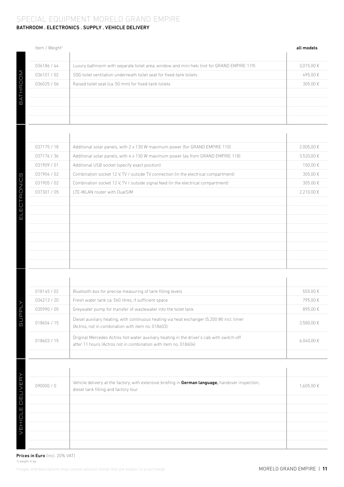### BATHROOM . ELECTRONICS . SUPPLY . VEHICLE DELIVERY SPECIAL EQUIPMENT MORELO GRAND EMPIRE

# Item / Weight<sup>1</sup> all models and the second second second second second second second second second second second second second second second second second second second second second second second second second second seco 036186 / 44 | Luxury bathroom with separate toilet area, window and mini heki (not for GRAND EMPIRE 119)  $\Box$  3,015.00 € **BATHROOM** BATHROOM 036101 / 02 SOG toilet ventilation underneath toilet seat for fixed-tank toilets 495.00 €  $036025 / 06$  Raised toilet seat (ca. 50 mm) for fixed-tank toilets 305.00  $\epsilon$

| 037175 / 18 | Additional solar panels, with 2 x 130 W maximum power (for GRAND EMPIRE 110)        | $2.005,00 \in$ |
|-------------|-------------------------------------------------------------------------------------|----------------|
| 037176 / 36 | Additional solar panels, with 4 x 130 W maximum power (as from GRAND EMPIRE 118)    | $3.520,00 \in$ |
| 031909 / 01 | Additional USB socket (specify exact position)                                      | 150,00€        |
| 031904 / 02 | Combination socket 12 V, TV / outside TV connection (in the electrical compartment) | 305.00€        |
| 031905/02   | Combination socket 12 V, TV / outside signal feed (in the electrical compartment)   | 305.00€        |
| 037301 / 05 | LTE-WLAN router with DualSIM                                                        | 2.210,00 €     |
|             |                                                                                     |                |
|             |                                                                                     |                |
|             |                                                                                     |                |
|             |                                                                                     |                |
|             |                                                                                     |                |
|             |                                                                                     |                |
|             |                                                                                     |                |
|             |                                                                                     |                |
|             |                                                                                     |                |

| 018145/02   | Bluetooth box for precise measuring of tank filling levels                                                                                                  | $555.00 \text{ } \in$ |
|-------------|-------------------------------------------------------------------------------------------------------------------------------------------------------------|-----------------------|
| 034213/20   | Fresh water tank ca. 560 litres, if sufficient space                                                                                                        | 795.00€               |
| 035990 / 05 | Greywater pump for transfer of wastewater into the toilet tank                                                                                              | 895.00€               |
| 018604 / 15 | Diesel auxiliary heating, with continuous heating via heat exchanger (5.200 W) incl. timer<br>(Actros, not in combination with item no. 018603)             | 3.580.00€             |
| 018603/15   | Original Mercedes Actros hot-water auxiliary heating in the driver's cab with switch-off<br>after 11 hours (Actros not in combination with item no. 018604) | $6.040.00 \in$        |
|             |                                                                                                                                                             |                       |

| 090000/0 | Vehicle delivery at the factory, with extensive briefing in German language, handover inspection,<br>diesel tank filling and factory tour | 1,605.00 € |
|----------|-------------------------------------------------------------------------------------------------------------------------------------------|------------|
|          |                                                                                                                                           |            |
|          |                                                                                                                                           |            |
|          |                                                                                                                                           |            |
|          |                                                                                                                                           |            |
|          |                                                                                                                                           |            |
|          |                                                                                                                                           |            |

Images and descriptions may contain optional extras that are subject to a surcharge. More than the container of the surface of the surface of the surface of the container of the surface of the surface of the surface of the Prices in Euro (incl. 20% VAT) 1) weight in kg